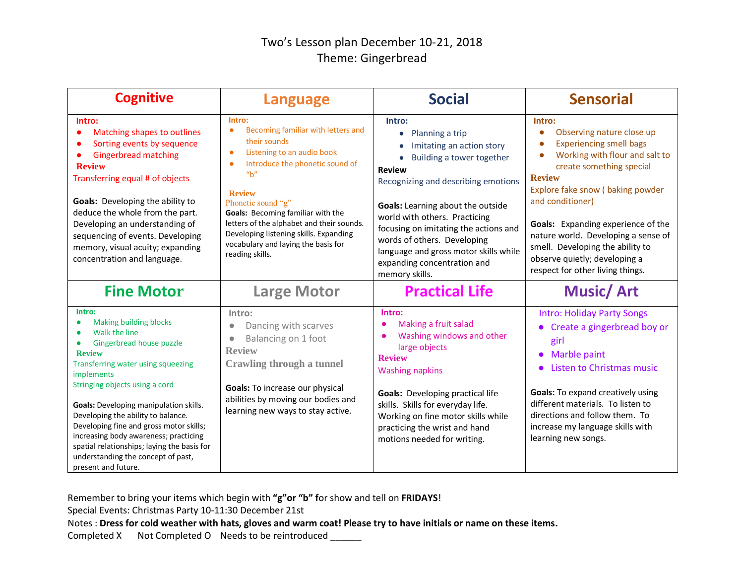## Two's Lesson plan December 10-21, 2018 Theme: Gingerbread

| <b>Cognitive</b>                                                                                                                                                                                                                                                                                                                                                                                                                                                                   | <b>Language</b>                                                                                                                                                                                                                                                                                                                                                                                            | <b>Social</b>                                                                                                                                                                                                                                                                                                                                                                                    | <b>Sensorial</b>                                                                                                                                                                                                                                                                                                                                                                                   |
|------------------------------------------------------------------------------------------------------------------------------------------------------------------------------------------------------------------------------------------------------------------------------------------------------------------------------------------------------------------------------------------------------------------------------------------------------------------------------------|------------------------------------------------------------------------------------------------------------------------------------------------------------------------------------------------------------------------------------------------------------------------------------------------------------------------------------------------------------------------------------------------------------|--------------------------------------------------------------------------------------------------------------------------------------------------------------------------------------------------------------------------------------------------------------------------------------------------------------------------------------------------------------------------------------------------|----------------------------------------------------------------------------------------------------------------------------------------------------------------------------------------------------------------------------------------------------------------------------------------------------------------------------------------------------------------------------------------------------|
| Intro:<br>Matching shapes to outlines<br>Sorting events by sequence<br><b>Gingerbread matching</b><br><b>Review</b><br>Transferring equal # of objects<br><b>Goals:</b> Developing the ability to<br>deduce the whole from the part.<br>Developing an understanding of<br>sequencing of events. Developing<br>memory, visual acuity; expanding<br>concentration and language.                                                                                                      | Intro:<br>Becoming familiar with letters and<br>$\bullet$<br>their sounds<br>Listening to an audio book<br>$\bullet$<br>Introduce the phonetic sound of<br>'' <sub>b</sub> ''<br><b>Review</b><br>Phonetic sound "g"<br>Goals: Becoming familiar with the<br>letters of the alphabet and their sounds.<br>Developing listening skills. Expanding<br>vocabulary and laying the basis for<br>reading skills. | Intro:<br>Planning a trip<br>$\bullet$<br>Imitating an action story<br>Building a tower together<br><b>Review</b><br>Recognizing and describing emotions<br>Goals: Learning about the outside<br>world with others. Practicing<br>focusing on imitating the actions and<br>words of others. Developing<br>language and gross motor skills while<br>expanding concentration and<br>memory skills. | Intro:<br>Observing nature close up<br><b>Experiencing smell bags</b><br>Working with flour and salt to<br>create something special<br><b>Review</b><br>Explore fake snow (baking powder<br>and conditioner)<br>Goals: Expanding experience of the<br>nature world. Developing a sense of<br>smell. Developing the ability to<br>observe quietly; developing a<br>respect for other living things. |
| <b>Fine Motor</b>                                                                                                                                                                                                                                                                                                                                                                                                                                                                  | <b>Large Motor</b>                                                                                                                                                                                                                                                                                                                                                                                         | <b>Practical Life</b>                                                                                                                                                                                                                                                                                                                                                                            | <b>Music/Art</b>                                                                                                                                                                                                                                                                                                                                                                                   |
| Intro:<br><b>Making building blocks</b><br>Walk the line<br>Gingerbread house puzzle<br><b>Review</b><br>Transferring water using squeezing<br>implements<br>Stringing objects using a cord<br><b>Goals:</b> Developing manipulation skills.<br>Developing the ability to balance.<br>Developing fine and gross motor skills;<br>increasing body awareness; practicing<br>spatial relationships; laying the basis for<br>understanding the concept of past,<br>present and future. | Intro:<br>Dancing with scarves<br>$\bullet$<br>Balancing on 1 foot<br>$\bullet$<br><b>Review</b><br><b>Crawling through a tunnel</b><br>Goals: To increase our physical<br>abilities by moving our bodies and<br>learning new ways to stay active.                                                                                                                                                         | Intro:<br>Making a fruit salad<br>Washing windows and other<br>large objects<br><b>Review</b><br><b>Washing napkins</b><br><b>Goals:</b> Developing practical life<br>skills. Skills for everyday life.<br>Working on fine motor skills while<br>practicing the wrist and hand<br>motions needed for writing.                                                                                    | <b>Intro: Holiday Party Songs</b><br>Create a gingerbread boy or<br>girl<br>• Marble paint<br>Listen to Christmas music<br><b>Goals:</b> To expand creatively using<br>different materials. To listen to<br>directions and follow them. To<br>increase my language skills with<br>learning new songs.                                                                                              |

Remember to bring your items which begin with **"g"or "b" f**or show and tell on **FRIDAYS**!

Special Events: Christmas Party 10-11:30 December 21st

Notes : **Dress for cold weather with hats, gloves and warm coat! Please try to have initials or name on these items.**

Completed X Not Completed O Needs to be reintroduced \_\_\_\_\_\_